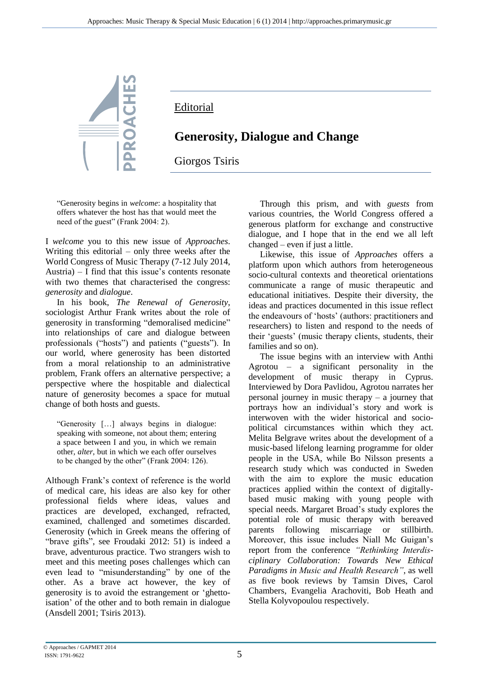

**Editorial** 

## **Generosity, Dialogue and Change**

Giorgos Tsiris

"Generosity begins in *welcome*: a hospitality that offers whatever the host has that would meet the need of the guest" (Frank 2004: 2).

I *welcome* you to this new issue of *Approaches*. Writing this editorial – only three weeks after the World Congress of Music Therapy (7-12 July 2014, Austria)  $-$  I find that this issue's contents resonate with two themes that characterised the congress: *generosity* and *dialogue*.

In his book, *The Renewal of Generosity*, sociologist Arthur Frank writes about the role of generosity in transforming "demoralised medicine" into relationships of care and dialogue between professionals ("hosts") and patients ("guests"). In our world, where generosity has been distorted from a moral relationship to an administrative problem, Frank offers an alternative perspective; a perspective where the hospitable and dialectical nature of generosity becomes a space for mutual change of both hosts and guests.

"Generosity […] always begins in dialogue: speaking with someone, not about them; entering a space between I and you, in which we remain other, *alter*, but in which we each offer ourselves to be changed by the other" (Frank 2004: 126).

Although Frank's context of reference is the world of medical care, his ideas are also key for other professional fields where ideas, values and practices are developed, exchanged, refracted, examined, challenged and sometimes discarded. Generosity (which in Greek means the offering of "brave gifts", see Froudaki 2012: 51) is indeed a brave, adventurous practice. Two strangers wish to meet and this meeting poses challenges which can even lead to "misunderstanding" by one of the other. As a brave act however, the key of generosity is to avoid the estrangement or 'ghettoisation' of the other and to both remain in dialogue (Ansdell 2001; Tsiris 2013).

Through this prism, and with *guests* from various countries, the World Congress offered a generous platform for exchange and constructive dialogue, and I hope that in the end we all left changed – even if just a little.

Likewise, this issue of *Approaches* offers a platform upon which authors from heterogeneous socio-cultural contexts and theoretical orientations communicate a range of music therapeutic and educational initiatives. Despite their diversity, the ideas and practices documented in this issue reflect the endeavours of 'hosts' (authors: practitioners and researchers) to listen and respond to the needs of their 'guests' (music therapy clients, students, their families and so on).

The issue begins with an interview with Anthi Agrotou – a significant personality in the development of music therapy in Cyprus. Interviewed by Dora Pavlidou, Agrotou narrates her personal journey in music therapy – a journey that portrays how an individual's story and work is interwoven with the wider historical and sociopolitical circumstances within which they act. Melita Belgrave writes about the development of a music-based lifelong learning programme for older people in the USA, while Bo Nilsson presents a research study which was conducted in Sweden with the aim to explore the music education practices applied within the context of digitallybased music making with young people with special needs. Margaret Broad's study explores the potential role of music therapy with bereaved parents following miscarriage or stillbirth. Moreover, this issue includes Niall Mc Guigan's report from the conference *"Rethinking Interdisciplinary Collaboration: Towards New Ethical Paradigms in Music and Health Research"*, as well as five book reviews by Tamsin Dives, Carol Chambers, Evangelia Arachoviti, Bob Heath and Stella Kolyvopoulou respectively.